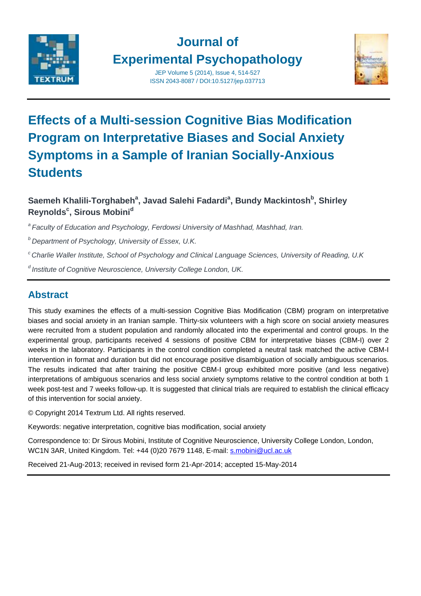

**Journal of Experimental Psychopathology**

JEP Volume 5 (2014), Issue 4, [514-](#page-0-0)[527](#page-13-0) ISSN 2043-8087 / DOI:10.5127/jep.037713



# <span id="page-0-0"></span>**Effects of a Multi-session Cognitive Bias Modification Program on Interpretative Biases and Social Anxiety Symptoms in a Sample of Iranian Socially-Anxious Students**

# Saemeh Khalili-Torghabeh<sup>a</sup>, Javad Salehi Fadardi<sup>a</sup>, Bundy Mackintosh<sup>b</sup>, Shirley **Reynoldsc , Sirous Mobini<sup>d</sup>**

*a Faculty of Education and Psychology, Ferdowsi University of Mashhad, Mashhad, Iran.*

*b Department of Psychology, University of Essex, U.K.*

*c Charlie Waller Institute, School of Psychology and Clinical Language Sciences, University of Reading, U.K*

*d Institute of Cognitive Neuroscience, University College London, UK.*

# **Abstract**

This study examines the effects of a multi-session Cognitive Bias Modification (CBM) program on interpretative biases and social anxiety in an Iranian sample. Thirty-six volunteers with a high score on social anxiety measures were recruited from a student population and randomly allocated into the experimental and control groups. In the experimental group, participants received 4 sessions of positive CBM for interpretative biases (CBM-I) over 2 weeks in the laboratory. Participants in the control condition completed a neutral task matched the active CBM-I intervention in format and duration but did not encourage positive disambiguation of socially ambiguous scenarios. The results indicated that after training the positive CBM-I group exhibited more positive (and less negative) interpretations of ambiguous scenarios and less social anxiety symptoms relative to the control condition at both 1 week post-test and 7 weeks follow-up. It is suggested that clinical trials are required to establish the clinical efficacy of this intervention for social anxiety.

© Copyright 2014 Textrum Ltd. All rights reserved.

Keywords: negative interpretation, cognitive bias modification, social anxiety

Correspondence to: Dr Sirous Mobini, Institute of Cognitive Neuroscience, University College London, London, WC1N 3AR, United Kingdom. Tel: +44 (0)20 7679 1148, E-mail: [s.mobini@ucl.ac.uk](mailto:s.mobini@ucl.ac.uk)

Received 21-Aug-2013; received in revised form 21-Apr-2014; accepted 15-May-2014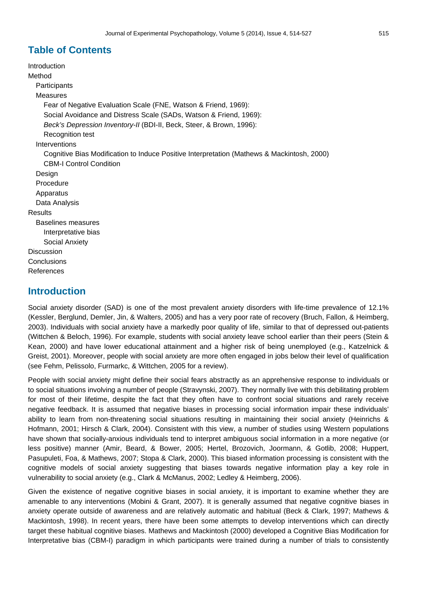# **Table of Contents**

[Introduction](#page-1-0) [Method](#page-3-0) **[Participants](#page-3-1)** [Measures](#page-3-2) [Fear of Negative Evaluation Scale \(FNE, Watson & Friend, 1969\):](#page-3-3) [Social Avoidance and Distress Scale \(SADs, Watson & Friend, 1969\):](#page-3-4) *Beck's Depression Inventory-II* [\(BDI-II, Beck, Steer, & Brown, 1996\):](#page-3-5) [Recognition test](#page-4-0) **[Interventions](#page-4-1)** [Cognitive Bias Modification to Induce Positive Interpretation \(Mathews & Mackintosh, 2000\)](#page-4-2) [CBM-I Control Condition](#page-5-0) [Design](#page-5-1) [Procedure](#page-5-2) [Apparatus](#page-6-0) [Data Analysis](#page-6-1) **[Results](#page-6-2)** [Baselines measures](#page-6-3) [Interpretative bias](#page-6-4) [Social Anxiety](#page-9-0) **[Discussion](#page-9-1) [Conclusions](#page-11-0)** [References](#page-11-1)

# <span id="page-1-0"></span>**Introduction**

Social anxiety disorder (SAD) is one of the most prevalent anxiety disorders with life-time prevalence of 12.1% (Kessler, Berglund, Demler, Jin, & Walters, 2005) and has a very poor rate of recovery (Bruch, Fallon, & Heimberg, 2003). Individuals with social anxiety have a markedly poor quality of life, similar to that of depressed out-patients (Wittchen & Beloch, 1996). For example, students with social anxiety leave school earlier than their peers (Stein & Kean, 2000) and have lower educational attainment and a higher risk of being unemployed (e.g., Katzelnick & Greist, 2001). Moreover, people with social anxiety are more often engaged in jobs below their level of qualification (see Fehm, Pelissolo, Furmarkc, & Wittchen, 2005 for a review).

People with social anxiety might define their social fears abstractly as an apprehensive response to individuals or to social situations involving a number of people (Stravynski, 2007). They normally live with this debilitating problem for most of their lifetime, despite the fact that they often have to confront social situations and rarely receive negative feedback. It is assumed that negative biases in processing social information impair these individuals' ability to learn from non-threatening social situations resulting in maintaining their social anxiety (Heinrichs & Hofmann, 2001; Hirsch & Clark, 2004). Consistent with this view, a number of studies using Western populations have shown that socially-anxious individuals tend to interpret ambiguous social information in a more negative (or less positive) manner (Amir, Beard, & Bower, 2005; Hertel, Brozovich, Joormann, & Gotlib, 2008; Huppert, Pasupuleti, Foa, & Mathews, 2007; Stopa & Clark, 2000). This biased information processing is consistent with the cognitive models of social anxiety suggesting that biases towards negative information play a key role in vulnerability to social anxiety (e.g., Clark & McManus, 2002; Ledley & Heimberg, 2006).

Given the existence of negative cognitive biases in social anxiety, it is important to examine whether they are amenable to any interventions (Mobini & Grant, 2007). It is generally assumed that negative cognitive biases in anxiety operate outside of awareness and are relatively automatic and habitual (Beck & Clark, 1997; Mathews & Mackintosh, 1998). In recent years, there have been some attempts to develop interventions which can directly target these habitual cognitive biases. Mathews and Mackintosh (2000) developed a Cognitive Bias Modification for Interpretative bias (CBM-I) paradigm in which participants were trained during a number of trials to consistently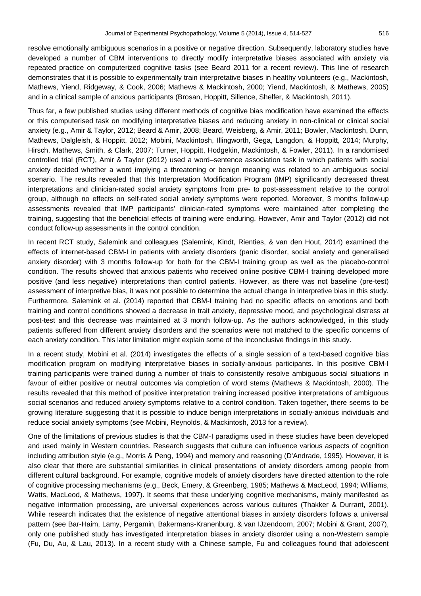resolve emotionally ambiguous scenarios in a positive or negative direction. Subsequently, laboratory studies have developed a number of CBM interventions to directly modify interpretative biases associated with anxiety via repeated practice on computerized cognitive tasks (see Beard 2011 for a recent review). This line of research demonstrates that it is possible to experimentally train interpretative biases in healthy volunteers (e.g., Mackintosh, Mathews, Yiend, Ridgeway, & Cook, 2006; Mathews & Mackintosh, 2000; Yiend, Mackintosh, & Mathews, 2005) and in a clinical sample of anxious participants (Brosan, Hoppitt, Sillence, Shelfer, & Mackintosh, 2011).

Thus far, a few published studies using different methods of cognitive bias modification have examined the effects or this computerised task on modifying interpretative biases and reducing anxiety in non-clinical or clinical social anxiety (e.g., Amir & Taylor, 2012; Beard & Amir, 2008; Beard, Weisberg, & Amir, 2011; Bowler, Mackintosh, Dunn, Mathews, Dalgleish, & Hoppitt, 2012; Mobini, Mackintosh, Illingworth, Gega, Langdon, & Hoppitt, 2014; Murphy, Hirsch, Mathews, Smith, & Clark, 2007; Turner, Hoppitt, Hodgekin, Mackintosh, & Fowler, 2011). In a randomised controlled trial (RCT), Amir & Taylor (2012) used a word–sentence association task in which patients with social anxiety decided whether a word implying a threatening or benign meaning was related to an ambiguous social scenario. The results revealed that this Interpretation Modification Program (IMP) significantly decreased threat interpretations and clinician-rated social anxiety symptoms from pre- to post-assessment relative to the control group, although no effects on self-rated social anxiety symptoms were reported. Moreover, 3 months follow-up assessments revealed that IMP participants' clinician-rated symptoms were maintained after completing the training, suggesting that the beneficial effects of training were enduring. However, Amir and Taylor (2012) did not conduct follow-up assessments in the control condition.

In recent RCT study, Salemink and colleagues (Salemink, Kindt, Rienties, & van den Hout, 2014) examined the effects of internet-based CBM-I in patients with anxiety disorders (panic disorder, social anxiety and generalised anxiety disorder) with 3 months follow-up for both for the CBM-I training group as well as the placebo-control condition. The results showed that anxious patients who received online positive CBM-I training developed more positive (and less negative) interpretations than control patients. However, as there was not baseline (pre-test) assessment of interpretive bias, it was not possible to determine the actual change in interpretive bias in this study. Furthermore, Salemink et al. (2014) reported that CBM-I training had no specific effects on emotions and both training and control conditions showed a decrease in trait anxiety, depressive mood, and psychological distress at post-test and this decrease was maintained at 3 month follow-up. As the authors acknowledged, in this study patients suffered from different anxiety disorders and the scenarios were not matched to the specific concerns of each anxiety condition. This later limitation might explain some of the inconclusive findings in this study.

In a recent study, Mobini et al. (2014) investigates the effects of a single session of a text-based cognitive bias modification program on modifying interpretative biases in socially-anxious participants. In this positive CBM-I training participants were trained during a number of trials to consistently resolve ambiguous social situations in favour of either positive or neutral outcomes via completion of word stems (Mathews & Mackintosh, 2000). The results revealed that this method of positive interpretation training increased positive interpretations of ambiguous social scenarios and reduced anxiety symptoms relative to a control condition. Taken together, there seems to be growing literature suggesting that it is possible to induce benign interpretations in socially-anxious individuals and reduce social anxiety symptoms (see Mobini, Reynolds, & Mackintosh, 2013 for a review).

One of the limitations of previous studies is that the CBM-I paradigms used in these studies have been developed and used mainly in Western countries. Research suggests that culture can influence various aspects of cognition including attribution style (e.g., Morris & Peng, 1994) and memory and reasoning (D'Andrade, 1995). However, it is also clear that there are substantial similarities in clinical presentations of anxiety disorders among people from different cultural background. For example, cognitive models of anxiety disorders have directed attention to the role of cognitive processing mechanisms (e.g., Beck, Emery, & Greenberg, 1985; Mathews & MacLeod, 1994; Williams, Watts, MacLeod, & Mathews, 1997). It seems that these underlying cognitive mechanisms, mainly manifested as negative information processing, are universal experiences across various cultures (Thakker & Durrant, 2001). While research indicates that the existence of negative attentional biases in anxiety disorders follows a universal pattern (see Bar-Haim, Lamy, Pergamin, Bakermans-Kranenburg, & van IJzendoorn, 2007; Mobini & Grant, 2007), only one published study has investigated interpretation biases in anxiety disorder using a non-Western sample (Fu, Du, Au, & Lau, 2013). In a recent study with a Chinese sample, Fu and colleagues found that adolescent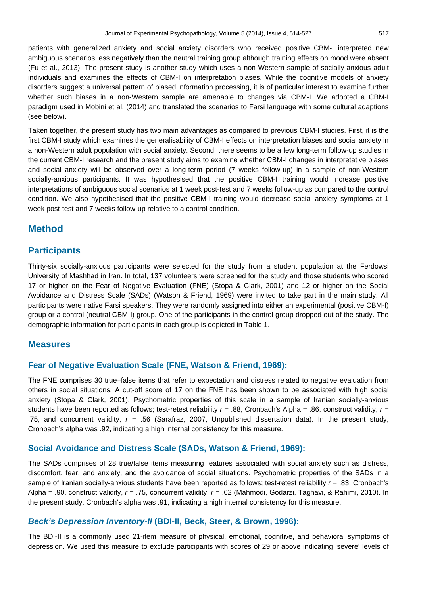patients with generalized anxiety and social anxiety disorders who received positive CBM-I interpreted new ambiguous scenarios less negatively than the neutral training group although training effects on mood were absent (Fu et al., 2013). The present study is another study which uses a non-Western sample of socially-anxious adult individuals and examines the effects of CBM-I on interpretation biases. While the cognitive models of anxiety disorders suggest a universal pattern of biased information processing, it is of particular interest to examine further whether such biases in a non-Western sample are amenable to changes via CBM-I. We adopted a CBM-I paradigm used in Mobini et al. (2014) and translated the scenarios to Farsi language with some cultural adaptions (see below).

Taken together, the present study has two main advantages as compared to previous CBM-I studies. First, it is the first CBM-I study which examines the generalisability of CBM-I effects on interpretation biases and social anxiety in a non-Western adult population with social anxiety. Second, there seems to be a few long-term follow-up studies in the current CBM-I research and the present study aims to examine whether CBM-I changes in interpretative biases and social anxiety will be observed over a long-term period (7 weeks follow-up) in a sample of non-Western socially-anxious participants. It was hypothesised that the positive CBM-I training would increase positive interpretations of ambiguous social scenarios at 1 week post-test and 7 weeks follow-up as compared to the control condition. We also hypothesised that the positive CBM-I training would decrease social anxiety symptoms at 1 week post-test and 7 weeks follow-up relative to a control condition.

## <span id="page-3-0"></span>**Method**

## <span id="page-3-1"></span>**Participants**

Thirty-six socially-anxious participants were selected for the study from a student population at the Ferdowsi University of Mashhad in Iran. In total, 137 volunteers were screened for the study and those students who scored 17 or higher on the Fear of Negative Evaluation (FNE) (Stopa & Clark, 2001) and 12 or higher on the Social Avoidance and Distress Scale (SADs) (Watson & Friend, 1969) were invited to take part in the main study. All participants were native Farsi speakers. They were randomly assigned into either an experimental (positive CBM-I) group or a control (neutral CBM-I) group. One of the participants in the control group dropped out of the study. The demographic information for participants in each group is depicted in Table 1.

#### <span id="page-3-2"></span>**Measures**

#### <span id="page-3-3"></span>**Fear of Negative Evaluation Scale (FNE, Watson & Friend, 1969):**

The FNE comprises 30 true–false items that refer to expectation and distress related to negative evaluation from others in social situations. A cut-off score of 17 on the FNE has been shown to be associated with high social anxiety (Stopa & Clark, 2001). Psychometric properties of this scale in a sample of Iranian socially-anxious students have been reported as follows; test-retest reliability *r* = .88, Cronbach's Alpha = .86, construct validity, *r =*  .75, and concurrent validity, *r* = .56 (Sarafraz, 2007, Unpublished dissertation data). In the present study, Cronbach's alpha was .92, indicating a high internal consistency for this measure.

#### <span id="page-3-4"></span>**Social Avoidance and Distress Scale (SADs, Watson & Friend, 1969):**

The SADs comprises of 28 true/false items measuring features associated with social anxiety such as distress, discomfort, fear, and anxiety, and the avoidance of social situations. Psychometric properties of the SADs in a sample of Iranian socially-anxious students have been reported as follows; test-retest reliability *r* = .83, Cronbach's Alpha = .90, construct validity, *r* = .75, concurrent validity, *r* = .62 (Mahmodi, Godarzi, Taghavi, & Rahimi, 2010). In the present study, Cronbach's alpha was .91, indicating a high internal consistency for this measure.

#### <span id="page-3-5"></span>*Beck's Depression Inventory-II* **(BDI-II, Beck, Steer, & Brown, 1996):**

The BDI-II is a commonly used 21-item measure of physical, emotional, cognitive, and behavioral symptoms of depression. We used this measure to exclude participants with scores of 29 or above indicating 'severe' levels of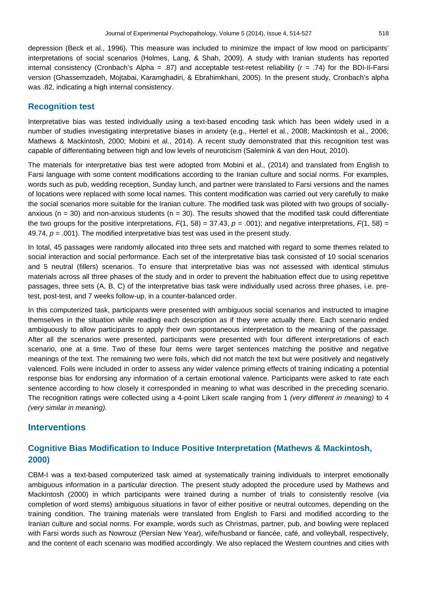depression (Beck et al., 1996). This measure was included to minimize the impact of low mood on participants' interpretations of social scenarios (Holmes, Lang, & Shah, 2009). A study with Iranian students has reported internal consistency (Cronbach's Alpha = .87) and acceptable test-retest reliability (*r* = .74) for the BDI-II-Farsi version (Ghassemzadeh, Mojtabai, Karamghadiri, & Ebrahimkhani, 2005). In the present study, Cronbach's alpha was .82, indicating a high internal consistency.

#### <span id="page-4-0"></span>**Recognition test**

Interpretative bias was tested individually using a text-based encoding task which has been widely used in a number of studies investigating interpretative biases in anxiety (e.g., Hertel et al., 2008; Mackintosh et al., 2006; Mathews & Mackintosh, 2000; Mobini et al., 2014). A recent study demonstrated that this recognition test was capable of differentiating between high and low levels of neuroticism (Salemink & van den Hout, 2010).

The materials for interpretative bias test were adopted from Mobini et al., (2014) and translated from English to Farsi language with some content modifications according to the Iranian culture and social norms. For examples, words such as pub, wedding reception, Sunday lunch, and partner were translated to Farsi versions and the names of locations were replaced with some local names. This content modification was carried out very carefully to make the social scenarios more suitable for the Iranian culture. The modified task was piloted with two groups of sociallyanxious ( $n = 30$ ) and non-anxious students ( $n = 30$ ). The results showed that the modified task could differentiate the two groups for the positive interpretations,  $F(1, 58) = 37.43$ ,  $p = .001$ ; and negative interpretations,  $F(1, 58) =$ 49.74,  $p = .001$ ). The modified interpretative bias test was used in the present study.

In total, 45 passages were randomly allocated into three sets and matched with regard to some themes related to social interaction and social performance. Each set of the interpretative bias task consisted of 10 social scenarios and 5 neutral (fillers) scenarios. To ensure that interpretative bias was not assessed with identical stimulus materials across all three phases of the study and in order to prevent the habituation effect due to using repetitive passages, three sets (A, B, C) of the interpretative bias task were individually used across three phases, i.e. pretest, post-test, and 7 weeks follow-up, in a counter-balanced order.

In this computerized task, participants were presented with ambiguous social scenarios and instructed to imagine themselves in the situation while reading each description as if they were actually there. Each scenario ended ambiguously to allow participants to apply their own spontaneous interpretation to the meaning of the passage. After all the scenarios were presented, participants were presented with four different interpretations of each scenario, one at a time. Two of these four items were target sentences matching the positive and negative meanings of the text. The remaining two were foils, which did not match the text but were positively and negatively valenced. Foils were included in order to assess any wider valence priming effects of training indicating a potential response bias for endorsing any information of a certain emotional valence. Participants were asked to rate each sentence according to how closely it corresponded in meaning to what was described in the preceding scenario. The recognition ratings were collected using a 4-point Likert scale ranging from 1 *(very different in meaning)* to 4 *(very similar in meaning).*

#### <span id="page-4-1"></span>**Interventions**

## <span id="page-4-2"></span>**Cognitive Bias Modification to Induce Positive Interpretation (Mathews & Mackintosh, 2000)**

CBM-I was a text-based computerized task aimed at systematically training individuals to interpret emotionally ambiguous information in a particular direction. The present study adopted the procedure used by Mathews and Mackintosh (2000) in which participants were trained during a number of trials to consistently resolve (via completion of word stems) ambiguous situations in favor of either positive or neutral outcomes, depending on the training condition. The training materials were translated from English to Farsi and modified according to the Iranian culture and social norms. For example, words such as Christmas, partner, pub, and bowling were replaced with Farsi words such as Nowrouz (Persian New Year), wife/husband or fiancée, café, and volleyball, respectively, and the content of each scenario was modified accordingly. We also replaced the Western countries and cities with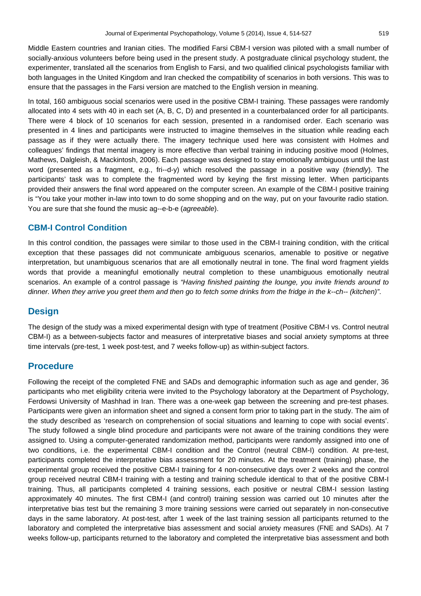Middle Eastern countries and Iranian cities. The modified Farsi CBM-I version was piloted with a small number of socially-anxious volunteers before being used in the present study. A postgraduate clinical psychology student, the experimenter, translated all the scenarios from English to Farsi, and two qualified clinical psychologists familiar with both languages in the United Kingdom and Iran checked the compatibility of scenarios in both versions. This was to ensure that the passages in the Farsi version are matched to the English version in meaning.

In total, 160 ambiguous social scenarios were used in the positive CBM-I training. These passages were randomly allocated into 4 sets with 40 in each set (A, B, C, D) and presented in a counterbalanced order for all participants. There were 4 block of 10 scenarios for each session, presented in a randomised order. Each scenario was presented in 4 lines and participants were instructed to imagine themselves in the situation while reading each passage as if they were actually there. The imagery technique used here was consistent with Holmes and colleagues' findings that mental imagery is more effective than verbal training in inducing positive mood (Holmes, Mathews, Dalgleish, & Mackintosh, 2006). Each passage was designed to stay emotionally ambiguous until the last word (presented as a fragment, e.g., fri--d-y) which resolved the passage in a positive way (*friendly*). The participants' task was to complete the fragmented word by keying the first missing letter. When participants provided their answers the final word appeared on the computer screen. An example of the CBM-I positive training is "You take your mother in-law into town to do some shopping and on the way, put on your favourite radio station. You are sure that she found the music ag--e-b-e (*agreeable*).

#### <span id="page-5-0"></span>**CBM-I Control Condition**

In this control condition, the passages were similar to those used in the CBM-I training condition, with the critical exception that these passages did not communicate ambiguous scenarios, amenable to positive or negative interpretation, but unambiguous scenarios that are all emotionally neutral in tone. The final word fragment yields words that provide a meaningful emotionally neutral completion to these unambiguous emotionally neutral scenarios. An example of a control passage is *"Having finished painting the lounge, you invite friends around to dinner. When they arrive you greet them and then go to fetch some drinks from the fridge in the k--ch-- (kitchen)"*.

## <span id="page-5-1"></span>**Design**

The design of the study was a mixed experimental design with type of treatment (Positive CBM-I vs. Control neutral CBM-I) as a between-subjects factor and measures of interpretative biases and social anxiety symptoms at three time intervals (pre-test, 1 week post-test, and 7 weeks follow-up) as within-subject factors.

## <span id="page-5-2"></span>**Procedure**

Following the receipt of the completed FNE and SADs and demographic information such as age and gender, 36 participants who met eligibility criteria were invited to the Psychology laboratory at the Department of Psychology, Ferdowsi University of Mashhad in Iran. There was a one-week gap between the screening and pre-test phases. Participants were given an information sheet and signed a consent form prior to taking part in the study. The aim of the study described as 'research on comprehension of social situations and learning to cope with social events'. The study followed a single blind procedure and participants were not aware of the training conditions they were assigned to. Using a computer-generated randomization method, participants were randomly assigned into one of two conditions, i.e. the experimental CBM-I condition and the Control (neutral CBM-I) condition. At pre-test, participants completed the interpretative bias assessment for 20 minutes. At the treatment (training) phase, the experimental group received the positive CBM-I training for 4 non-consecutive days over 2 weeks and the control group received neutral CBM-I training with a testing and training schedule identical to that of the positive CBM-I training. Thus, all participants completed 4 training sessions, each positive or neutral CBM-I session lasting approximately 40 minutes. The first CBM-I (and control) training session was carried out 10 minutes after the interpretative bias test but the remaining 3 more training sessions were carried out separately in non-consecutive days in the same laboratory. At post-test, after 1 week of the last training session all participants returned to the laboratory and completed the interpretative bias assessment and social anxiety measures (FNE and SADs). At 7 weeks follow-up, participants returned to the laboratory and completed the interpretative bias assessment and both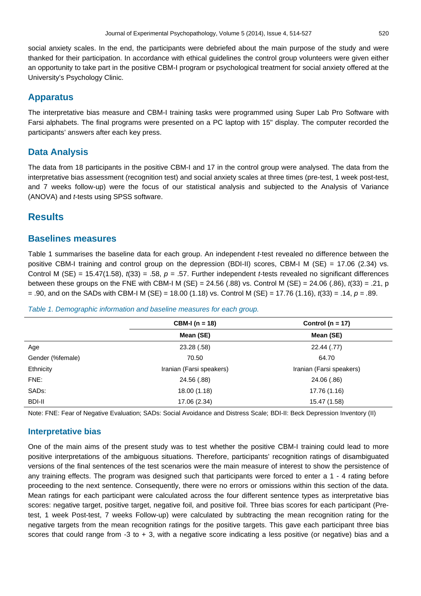social anxiety scales. In the end, the participants were debriefed about the main purpose of the study and were thanked for their participation. In accordance with ethical guidelines the control group volunteers were given either an opportunity to take part in the positive CBM-I program or psychological treatment for social anxiety offered at the University's Psychology Clinic.

#### <span id="page-6-0"></span>**Apparatus**

The interpretative bias measure and CBM-I training tasks were programmed using Super Lab Pro Software with Farsi alphabets. The final programs were presented on a PC laptop with 15" display. The computer recorded the participants' answers after each key press.

## <span id="page-6-1"></span>**Data Analysis**

The data from 18 participants in the positive CBM-I and 17 in the control group were analysed. The data from the interpretative bias assessment (recognition test) and social anxiety scales at three times (pre-test, 1 week post-test, and 7 weeks follow-up) were the focus of our statistical analysis and subjected to the Analysis of Variance (ANOVA) and *t*-tests using SPSS software.

## <span id="page-6-2"></span>**Results**

#### <span id="page-6-3"></span>**Baselines measures**

Table 1 summarises the baseline data for each group. An independent *t*-test revealed no difference between the positive CBM-I training and control group on the depression (BDI-II) scores, CBM-I M (SE) = 17.06 (2.34) vs. Control M (SE) = 15.47(1.58),  $t(33)$  = .58,  $p = 0.57$ . Further independent *t*-tests revealed no significant differences between these groups on the FNE with CBM-I M (SE) = 24.56 (.88) vs. Control M (SE) = 24.06 (.86), *t*(33) = .21, p = .90, and on the SADs with CBM-I M (SE) = 18.00 (1.18) vs. Control M (SE) = 17.76 (1.16), *t*(33) = .14, *p = .*89.

| Table 1. Demographic information and baseline measures for each group. |  |  |
|------------------------------------------------------------------------|--|--|
|------------------------------------------------------------------------|--|--|

|                   | <b>CBM-I</b> ( $n = 18$ )<br>Control ( $n = 17$ ) |                          |
|-------------------|---------------------------------------------------|--------------------------|
|                   | Mean (SE)                                         | Mean (SE)                |
| Age               | 23.28 (.58)                                       | 22.44 (.77)              |
| Gender (%female)  | 70.50                                             | 64.70                    |
| Ethnicity         | Iranian (Farsi speakers)                          | Iranian (Farsi speakers) |
| FNE:              | 24.56 (.88)                                       | 24.06 (.86)              |
| SAD <sub>s:</sub> | 18.00(1.18)                                       | 17.76 (1.16)             |
| BDI-II            | 17.06 (2.34)                                      | 15.47 (1.58)             |

<span id="page-6-4"></span>Note: FNE: Fear of Negative Evaluation; SADs: Social Avoidance and Distress Scale; BDI-II: Beck Depression Inventory (II)

#### **Interpretative bias**

One of the main aims of the present study was to test whether the positive CBM-I training could lead to more positive interpretations of the ambiguous situations. Therefore, participants' recognition ratings of disambiguated versions of the final sentences of the test scenarios were the main measure of interest to show the persistence of any training effects. The program was designed such that participants were forced to enter a 1 - 4 rating before proceeding to the next sentence. Consequently, there were no errors or omissions within this section of the data. Mean ratings for each participant were calculated across the four different sentence types as interpretative bias scores: negative target, positive target, negative foil, and positive foil. Three bias scores for each participant (Pretest, 1 week Post-test, 7 weeks Follow-up) were calculated by subtracting the mean recognition rating for the negative targets from the mean recognition ratings for the positive targets. This gave each participant three bias scores that could range from -3 to + 3, with a negative score indicating a less positive (or negative) bias and a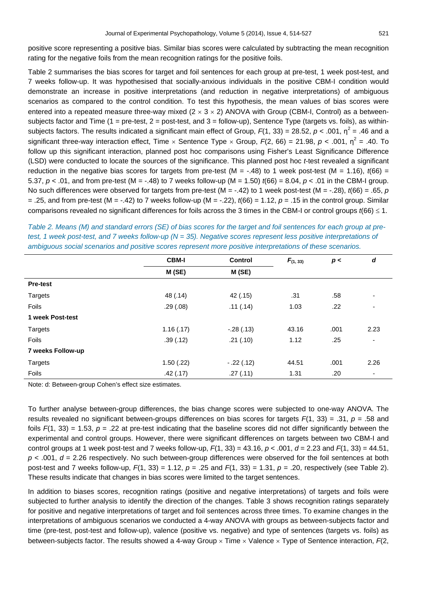positive score representing a positive bias. Similar bias scores were calculated by subtracting the mean recognition rating for the negative foils from the mean recognition ratings for the positive foils.

Table 2 summarises the bias scores for target and foil sentences for each group at pre-test, 1 week post-test, and 7 weeks follow-up. It was hypothesised that socially-anxious individuals in the positive CBM-I condition would demonstrate an increase in positive interpretations (and reduction in negative interpretations) of ambiguous scenarios as compared to the control condition. To test this hypothesis, the mean values of bias scores were entered into a repeated measure three-way mixed  $(2 \times 3 \times 2)$  ANOVA with Group (CBM-I, Control) as a betweensubjects factor and Time  $(1 = pre-test, 2 = post-test, and 3 = follow-up)$ , Sentence Type (targets vs. foils), as withinsubjects factors. The results indicated a significant main effect of Group,  $F(1, 33) = 28.52$ ,  $p < .001$ ,  $\eta^2 = .46$  and a significant three-way interaction effect, Time  $\times$  Sentence Type  $\times$  Group,  $F(2, 66) = 21.98$ ,  $p < .001$ ,  $n^2 = .40$ . To follow up this significant interaction, planned post hoc comparisons using Fisher's Least Significance Difference (LSD) were conducted to locate the sources of the significance. This planned post hoc *t*-test revealed a significant reduction in the negative bias scores for targets from pre-test  $(M = -.48)$  to 1 week post-test  $(M = 1.16)$ ,  $t(66) =$ 5.37, *p* < .01, and from pre-test (M = -.48) to 7 weeks follow-up (M = 1.50) *t*(66) = 8.04, *p* < .01 in the CBM-I group. No such differences were observed for targets from pre-test (M = -.42) to 1 week post-test (M = -.28), *t*(66) = .65, *p* = .25, and from pre-test (M = -.42) to 7 weeks follow-up (M = -.22), *t*(66) = 1.12, *p* = .15 in the control group. Similar comparisons revealed no significant differences for foils across the 3 times in the CBM-I or control groups  $t(66) \le 1$ .

*Table 2. Means (M) and standard errors (SE) of bias scores for the target and foil sentences for each group at pretest, 1 week post-test, and 7 weeks follow-up (N = 35). Negative scores represent less positive interpretations of ambiguous social scenarios and positive scores represent more positive interpretations of these scenarios.*

|                   | <b>CBM-I</b> | Control     | $F_{(1, 33)}$ | p<   | d    |
|-------------------|--------------|-------------|---------------|------|------|
|                   | M (SE)       | M (SE)      |               |      |      |
| <b>Pre-test</b>   |              |             |               |      |      |
| Targets           | 48 (.14)     | 42 (.15)    | .31           | .58  | ۰    |
| Foils             | .29(.08)     | .11(.14)    | 1.03          | .22  | ۰    |
| 1 week Post-test  |              |             |               |      |      |
| Targets           | 1.16(0.17)   | $-.28(.13)$ | 43.16         | .001 | 2.23 |
| Foils             | .39(.12)     | .21(.10)    | 1.12          | .25  | ٠    |
| 7 weeks Follow-up |              |             |               |      |      |
| Targets           | 1.50(.22)    | $-.22(.12)$ | 44.51         | .001 | 2.26 |
| Foils             | .42(.17)     | .27(.11)    | 1.31          | .20  | ۰    |

Note: d: Between-group Cohen's effect size estimates.

To further analyse between-group differences, the bias change scores were subjected to one-way ANOVA. The results revealed no significant between-groups differences on bias scores for targets *F*(1, 33) = .31, *p* = .58 and foils  $F(1, 33) = 1.53$ ,  $p = 0.22$  at pre-test indicating that the baseline scores did not differ significantly between the experimental and control groups. However, there were significant differences on targets between two CBM-I and control groups at 1 week post-test and 7 weeks follow-up, *F*(1, 33) = 43.16, *p* < .001, *d* = 2.23 and *F*(1, 33) = 44.51, *p* < .001, *d* = 2.26 respectively. No such between-group differences were observed for the foil sentences at both post-test and 7 weeks follow-up, *F*(1, 33) = 1.12, *p* = .25 and *F*(1, 33) = 1.31, *p* = .20, respectively (see Table 2). These results indicate that changes in bias scores were limited to the target sentences.

In addition to biases scores, recognition ratings (positive and negative interpretations) of targets and foils were subjected to further analysis to identify the direction of the changes. Table 3 shows recognition ratings separately for positive and negative interpretations of target and foil sentences across three times. To examine changes in the interpretations of ambiguous scenarios we conducted a 4-way ANOVA with groups as between-subjects factor and time (pre-test, post-test and follow-up), valence (positive vs. negative) and type of sentences (targets vs. foils) as between-subjects factor. The results showed a 4-way Group × Time × Valence × Type of Sentence interaction, *F*(2,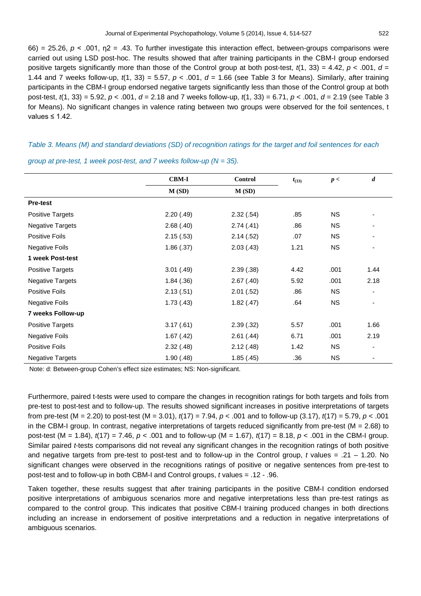66) = 25.26,  $p < .001$ ,  $n^2$  = .43. To further investigate this interaction effect, between-groups comparisons were carried out using LSD post-hoc. The results showed that after training participants in the CBM-I group endorsed positive targets significantly more than those of the Control group at both post-test,  $t(1, 33) = 4.42$ ,  $p < .001$ ,  $d =$ 1.44 and 7 weeks follow-up,  $t(1, 33) = 5.57$ ,  $p < .001$ ,  $d = 1.66$  (see Table 3 for Means). Similarly, after training participants in the CBM-I group endorsed negative targets significantly less than those of the Control group at both post-test, *t*(1, 33) = 5.92, *p* < .001, *d* = 2.18 and 7 weeks follow-up, *t*(1, 33) = 6.71, *p* < .001, *d* = 2.19 (see Table 3 for Means). No significant changes in valence rating between two groups were observed for the foil sentences, t values  $\leq 1.42$ .

#### *Table 3. Means (M) and standard deviations (SD) of recognition ratings for the target and foil sentences for each*

|                         | <b>CBM-I</b> | Control    | $t_{(33)}$ | p<        | d    |
|-------------------------|--------------|------------|------------|-----------|------|
|                         | M(SD)        | M(SD)      |            |           |      |
| <b>Pre-test</b>         |              |            |            |           |      |
| <b>Positive Targets</b> | 2.20(.49)    | 2.32(.54)  | .85        | <b>NS</b> |      |
| <b>Negative Targets</b> | 2.68(.40)    | 2.74(.41)  | .86        | <b>NS</b> |      |
| Positive Foils          | 2.15(.53)    | 2.14(.52)  | .07        | <b>NS</b> |      |
| <b>Negative Foils</b>   | 1.86(.37)    | 2.03(0.43) | 1.21       | <b>NS</b> |      |
| 1 week Post-test        |              |            |            |           |      |
| <b>Positive Targets</b> | 3.01(.49)    | 2.39(.38)  | 4.42       | .001      | 1.44 |
| <b>Negative Targets</b> | 1.84(.36)    | 2.67(.40)  | 5.92       | .001      | 2.18 |
| Positive Foils          | 2.13(.51)    | 2.01(.52)  | .86        | NS.       |      |
| <b>Negative Foils</b>   | 1.73(.43)    | 1.82(.47)  | .64        | <b>NS</b> | ۰    |
| 7 weeks Follow-up       |              |            |            |           |      |
| <b>Positive Targets</b> | 3.17(.61)    | 2.39(.32)  | 5.57       | .001      | 1.66 |
| <b>Negative Foils</b>   | 1.67(0.42)   | 2.61(.44)  | 6.71       | .001      | 2.19 |
| Positive Foils          | 2.32(.48)    | 2.12(.48)  | 1.42       | NS.       |      |
| <b>Negative Targets</b> | 1.90(.48)    | 1.85(.45)  | .36        | <b>NS</b> |      |

*group at pre-test, 1 week post-test, and 7 weeks follow-up (N = 35).* 

Note: d: Between-group Cohen's effect size estimates; NS: Non-significant.

Furthermore, paired t-tests were used to compare the changes in recognition ratings for both targets and foils from pre-test to post-test and to follow-up. The results showed significant increases in positive interpretations of targets from pre-test (M = 2.20) to post-test (M = 3.01), *t*(17) = 7.94, *p* < .001 and to follow-up (3.17), *t*(17) = 5.79, *p* < .001 in the CBM-I group. In contrast, negative interpretations of targets reduced significantly from pre-test (M = 2.68) to post-test (M = 1.84), *t*(17) = 7.46, *p* < .001 and to follow-up (M = 1.67), *t*(17) = 8.18, *p* < .001 in the CBM-I group. Similar paired *t*-tests comparisons did not reveal any significant changes in the recognition ratings of both positive and negative targets from pre-test to post-test and to follow-up in the Control group, *t* values = .21 – 1.20. No significant changes were observed in the recognitions ratings of positive or negative sentences from pre-test to post-test and to follow-up in both CBM-I and Control groups, *t* values = .12 - .96.

Taken together, these results suggest that after training participants in the positive CBM-I condition endorsed positive interpretations of ambiguous scenarios more and negative interpretations less than pre-test ratings as compared to the control group. This indicates that positive CBM-I training produced changes in both directions including an increase in endorsement of positive interpretations and a reduction in negative interpretations of ambiguous scenarios.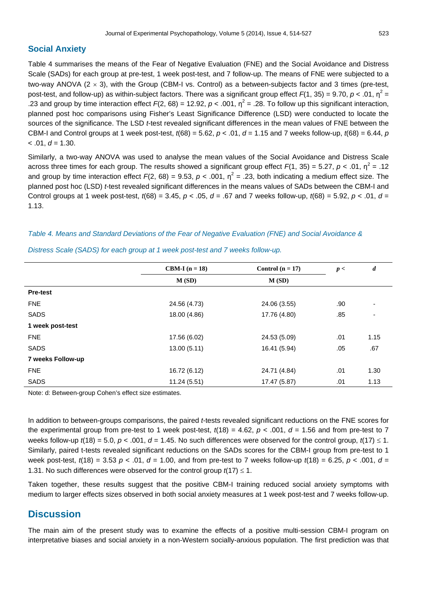#### <span id="page-9-0"></span>**Social Anxiety**

Table 4 summarises the means of the Fear of Negative Evaluation (FNE) and the Social Avoidance and Distress Scale (SADs) for each group at pre-test, 1 week post-test, and 7 follow-up. The means of FNE were subjected to a two-way ANOVA  $(2 \times 3)$ , with the Group (CBM-I vs. Control) as a between-subjects factor and 3 times (pre-test, post-test, and follow-up) as within-subject factors. There was a significant group effect  $F(1, 35) = 9.70$ ,  $p < .01$ ,  $n^2 =$ .23 and group by time interaction effect  $F(2, 68) = 12.92$ ,  $p < .001$ ,  $\eta^2 = .28$ . To follow up this significant interaction, planned post hoc comparisons using Fisher's Least Significance Difference (LSD) were conducted to locate the sources of the significance. The LSD *t*-test revealed significant differences in the mean values of FNE between the CBM-I and Control groups at 1 week post-test, *t*(68) = 5.62, *p* < .01, *d* = 1.15 and 7 weeks follow-up, *t*(68) = 6.44, *p*   $< .01, d = 1.30.$ 

Similarly, a two-way ANOVA was used to analyse the mean values of the Social Avoidance and Distress Scale across three times for each group. The results showed a significant group effect  $F(1, 35) = 5.27$ ,  $p < .01$ ,  $n^2 = .12$ and group by time interaction effect  $F(2, 68) = 9.53$ ,  $p < .001$ ,  $\eta^2 = .23$ , both indicating a medium effect size. The planned post hoc (LSD) *t*-test revealed significant differences in the means values of SADs between the CBM-I and Control groups at 1 week post-test, *t*(68) = 3.45, *p* < .05, *d* = .67 and 7 weeks follow-up, *t*(68) = 5.92, *p* < .01, *d* = 1.13.

#### *Table 4. Means and Standard Deviations of the Fear of Negative Evaluation (FNE) and Social Avoidance &*

|                   | CBM-I $(n = 18)$ | Control $(n = 17)$ | p < | $\boldsymbol{d}$ |
|-------------------|------------------|--------------------|-----|------------------|
|                   | M(SD)            | M(SD)              |     |                  |
| <b>Pre-test</b>   |                  |                    |     |                  |
| <b>FNE</b>        | 24.56 (4.73)     | 24.06 (3.55)       | .90 |                  |
| <b>SADS</b>       | 18.00 (4.86)     | 17.76 (4.80)       | .85 |                  |
| 1 week post-test  |                  |                    |     |                  |
| <b>FNE</b>        | 17.56 (6.02)     | 24.53 (5.09)       | .01 | 1.15             |
| <b>SADS</b>       | 13.00(5.11)      | 16.41 (5.94)       | .05 | .67              |
| 7 weeks Follow-up |                  |                    |     |                  |
| <b>FNE</b>        | 16.72 (6.12)     | 24.71 (4.84)       | .01 | 1.30             |
| <b>SADS</b>       | 11.24(5.51)      | 17.47 (5.87)       | .01 | 1.13             |
|                   |                  |                    |     |                  |

*Distress Scale (SADS) for each group at 1 week post-test and 7 weeks follow-up.*

Note: d: Between-group Cohen's effect size estimates.

In addition to between-groups comparisons, the paired *t*-tests revealed significant reductions on the FNE scores for the experimental group from pre-test to 1 week post-test,  $t(18) = 4.62$ ,  $p < .001$ ,  $d = 1.56$  and from pre-test to 7 weeks follow-up  $t(18) = 5.0$ ,  $p < .001$ ,  $d = 1.45$ . No such differences were observed for the control group,  $t(17) \le 1$ . Similarly, paired t-tests revealed significant reductions on the SADs scores for the CBM-I group from pre-test to 1 week post-test, *t*(18) = 3.53 *p* < .01, *d* = 1.00, and from pre-test to 7 weeks follow-up *t*(18) = 6.25, *p* < .001, *d* = 1.31. No such differences were observed for the control group  $t(17) \leq 1$ .

Taken together, these results suggest that the positive CBM-I training reduced social anxiety symptoms with medium to larger effects sizes observed in both social anxiety measures at 1 week post-test and 7 weeks follow-up.

## <span id="page-9-1"></span>**Discussion**

The main aim of the present study was to examine the effects of a positive multi-session CBM-I program on interpretative biases and social anxiety in a non-Western socially-anxious population. The first prediction was that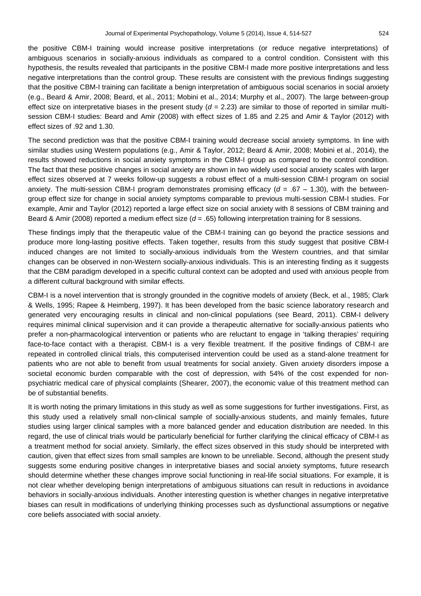the positive CBM-I training would increase positive interpretations (or reduce negative interpretations) of ambiguous scenarios in socially-anxious individuals as compared to a control condition. Consistent with this hypothesis, the results revealed that participants in the positive CBM-I made more positive interpretations and less negative interpretations than the control group. These results are consistent with the previous findings suggesting that the positive CBM-I training can facilitate a benign interpretation of ambiguous social scenarios in social anxiety (e.g., Beard & Amir, 2008; Beard, et al., 2011; Mobini et al., 2014; Murphy et al., 2007). The large between-group effect size on interpretative biases in the present study (*d* = 2.23) are similar to those of reported in similar multisession CBM-I studies: Beard and Amir (2008) with effect sizes of 1.85 and 2.25 and Amir & Taylor (2012) with effect sizes of .92 and 1.30.

The second prediction was that the positive CBM-I training would decrease social anxiety symptoms. In line with similar studies using Western populations (e.g., Amir & Taylor, 2012; Beard & Amir, 2008; Mobini et al., 2014), the results showed reductions in social anxiety symptoms in the CBM-I group as compared to the control condition. The fact that these positive changes in social anxiety are shown in two widely used social anxiety scales with larger effect sizes observed at 7 weeks follow-up suggests a robust effect of a multi-session CBM-I program on social anxiety. The multi-session CBM-I program demonstrates promising efficacy  $(d = .67 - 1.30)$ , with the betweengroup effect size for change in social anxiety symptoms comparable to previous multi-session CBM-I studies. For example, Amir and Taylor (2012) reported a large effect size on social anxiety with 8 sessions of CBM training and Beard & Amir (2008) reported a medium effect size (*d* = .65) following interpretation training for 8 sessions.

These findings imply that the therapeutic value of the CBM-I training can go beyond the practice sessions and produce more long-lasting positive effects. Taken together, results from this study suggest that positive CBM-I induced changes are not limited to socially-anxious individuals from the Western countries, and that similar changes can be observed in non-Western socially-anxious individuals. This is an interesting finding as it suggests that the CBM paradigm developed in a specific cultural context can be adopted and used with anxious people from a different cultural background with similar effects.

CBM-I is a novel intervention that is strongly grounded in the cognitive models of anxiety (Beck, et al., 1985; Clark & Wells, 1995; Rapee & Heimberg, 1997). It has been developed from the basic science laboratory research and generated very encouraging results in clinical and non-clinical populations (see Beard, 2011). CBM-I delivery requires minimal clinical supervision and it can provide a therapeutic alternative for socially-anxious patients who prefer a non-pharmacological intervention or patients who are reluctant to engage in 'talking therapies' requiring face-to-face contact with a therapist. CBM-I is a very flexible treatment. If the positive findings of CBM-I are repeated in controlled clinical trials, this computerised intervention could be used as a stand-alone treatment for patients who are not able to benefit from usual treatments for social anxiety. Given anxiety disorders impose a societal economic burden comparable with the cost of depression, with 54% of the cost expended for nonpsychiatric medical care of physical complaints (Shearer, 2007), the economic value of this treatment method can be of substantial benefits.

It is worth noting the primary limitations in this study as well as some suggestions for further investigations. First, as this study used a relatively small non-clinical sample of socially-anxious students, and mainly females, future studies using larger clinical samples with a more balanced gender and education distribution are needed. In this regard, the use of clinical trials would be particularly beneficial for further clarifying the clinical efficacy of CBM-I as a treatment method for social anxiety. Similarly, the effect sizes observed in this study should be interpreted with caution, given that effect sizes from small samples are known to be unreliable. Second, although the present study suggests some enduring positive changes in interpretative biases and social anxiety symptoms, future research should determine whether these changes improve social functioning in real-life social situations. For example, it is not clear whether developing benign interpretations of ambiguous situations can result in reductions in avoidance behaviors in socially-anxious individuals. Another interesting question is whether changes in negative interpretative biases can result in modifications of underlying thinking processes such as dysfunctional assumptions or negative core beliefs associated with social anxiety.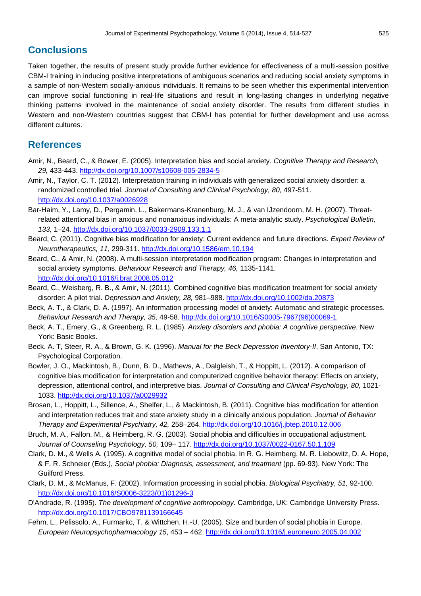# <span id="page-11-0"></span>**Conclusions**

Taken together, the results of present study provide further evidence for effectiveness of a multi-session positive CBM-I training in inducing positive interpretations of ambiguous scenarios and reducing social anxiety symptoms in a sample of non-Western socially-anxious individuals. It remains to be seen whether this experimental intervention can improve social functioning in real-life situations and result in long-lasting changes in underlying negative thinking patterns involved in the maintenance of social anxiety disorder. The results from different studies in Western and non-Western countries suggest that CBM-I has potential for further development and use across different cultures.

# <span id="page-11-1"></span>**References**

- Amir, N., Beard, C., & Bower, E. (2005). Interpretation bias and social anxiety. *Cognitive Therapy and Research, 29,* 433-443. <http://dx.doi.org/10.1007/s10608-005-2834-5>
- Amir, N., Taylor, C. T. (2012). Interpretation training in individuals with generalized social anxiety disorder: a randomized controlled trial. *Journal of Consulting and Clinical Psychology, 80,* 497-511. <http://dx.doi.org/10.1037/a0026928>
- Bar-Haim, Y., Lamy, D., Pergamin, L., Bakermans-Kranenburg, M. J., & van IJzendoorn, M. H. (2007). Threatrelated attentional bias in anxious and nonanxious individuals: A meta-analytic study. *Psychological Bulletin, 133,* 1–24. <http://dx.doi.org/10.1037/0033-2909.133.1.1>
- Beard, C. (2011). Cognitive bias modification for anxiety: Current evidence and future directions. *Expert Review of Neurotherapeutics, 11*, 299-311. <http://dx.doi.org/10.1586/ern.10.194>
- Beard, C., & Amir, N. (2008). A multi-session interpretation modification program: Changes in interpretation and social anxiety symptoms. *Behaviour Research and Therapy, 46,* 1135-1141. <http://dx.doi.org/10.1016/j.brat.2008.05.012>
- Beard, C., Weisberg, R. B., & Amir, N. (2011). Combined cognitive bias modification treatment for social anxiety disorder: A pilot trial. *Depression and Anxiety, 28,* 981–988. <http://dx.doi.org/10.1002/da.20873>
- Beck, A. T., & Clark, D. A. (1997). An information processing model of anxiety: Automatic and strategic processes. *Behaviour Research and Therapy, 35,* 49-58. [http://dx.doi.org/10.1016/S0005-7967\(96\)00069-1](http://dx.doi.org/10.1016/S0005-7967(96)00069-1)
- Beck, A. T., Emery, G., & Greenberg, R. L. (1985). *Anxiety disorders and phobia: A cognitive perspective*. New York: Basic Books.
- Beck. A. T, Steer, R. A., & Brown, G. K. (1996). *Manual for the Beck Depression Inventory-II*. San Antonio, TX: Psychological Corporation.
- Bowler, J. O., Mackintosh, B., Dunn, B. D., Mathews, A., Dalgleish, T., & Hoppitt, L. (2012). A comparison of cognitive bias modification for interpretation and computerized cognitive behavior therapy: Effects on anxiety, depression, attentional control, and interpretive bias. *Journal of Consulting and Clinical Psychology, 80,* 1021- 1033. <http://dx.doi.org/10.1037/a0029932>
- Brosan, L., Hoppitt, L., Sillence, A., Shelfer, L., & Mackintosh, B. (2011). Cognitive bias modification for attention and interpretation reduces trait and state anxiety study in a clinically anxious population. *Journal of Behavior Therapy and Experimental Psychiatry, 42,* 258–264. <http://dx.doi.org/10.1016/j.jbtep.2010.12.006>
- Bruch, M. A., Fallon, M., & Heimberg, R. G. (2003). Social phobia and difficulties in occupational adjustment. *Journal of Counseling Psychology, 50,* 109– 117. <http://dx.doi.org/10.1037/0022-0167.50.1.109>
- Clark, D. M., & Wells A. (1995). A cognitive model of social phobia. In R. G. Heimberg, M. R. Liebowitz, D. A. Hope, & F. R. Schneier (Eds.), *Social phobia: Diagnosis, assessment, and treatment* (pp. 69-93). New York: The Guilford Press.
- Clark, D. M., & McManus, F. (2002). Information processing in social phobia. *Biological Psychiatry, 51,* 92-100. [http://dx.doi.org/10.1016/S0006-3223\(01\)01296-3](http://dx.doi.org/10.1016/S0006-3223(01)01296-3)
- D'Andrade, R. (1995). *The development of cognitive anthropology.* Cambridge, UK: Cambridge University Press. <http://dx.doi.org/10.1017/CBO9781139166645>
- Fehm, L., Pelissolo, A., Furmarkc, T. & Wittchen, H.-U. (2005). Size and burden of social phobia in Europe. *European Neuropsychopharmacology 15*, 453 – 462. <http://dx.doi.org/10.1016/j.euroneuro.2005.04.002>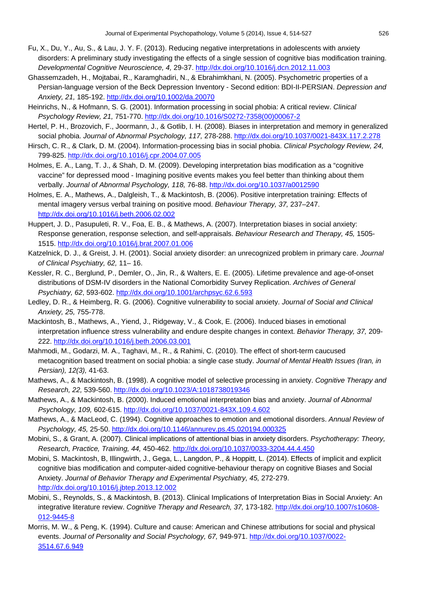- Fu, X., Du, Y., Au, S., & Lau, J. Y. F. (2013). Reducing negative interpretations in adolescents with anxiety disorders: A preliminary study investigating the effects of a single session of cognitive bias modification training. *Developmental Cognitive Neuroscience, 4,* 29-37. <http://dx.doi.org/10.1016/j.dcn.2012.11.003>
- Ghassemzadeh, H., Mojtabai, R., Karamghadiri, N., & Ebrahimkhani, N. (2005). Psychometric properties of a Persian-language version of the Beck Depression Inventory - Second edition: BDI-II-PERSIAN. *Depression and Anxiety, 21,* 185-192. <http://dx.doi.org/10.1002/da.20070>
- Heinrichs, N., & Hofmann, S. G. (2001). Information processing in social phobia: A critical review. *Clinical Psychology Review, 21,* 751-770. [http://dx.doi.org/10.1016/S0272-7358\(00\)00067-2](http://dx.doi.org/10.1016/S0272-7358(00)00067-2)
- Hertel, P. H., Brozovich, F., Joormann, J., & Gotlib, I. H. (2008). Biases in interpretation and memory in generalized social phobia. *Journal of Abnormal Psychology, 117,* 278-288. <http://dx.doi.org/10.1037/0021-843X.117.2.278>
- Hirsch, C. R., & Clark, D. M. (2004). Information-processing bias in social phobia. *Clinical Psychology Review, 24,* 799-825. <http://dx.doi.org/10.1016/j.cpr.2004.07.005>
- Holmes, E. A., Lang, T. J., & Shah, D. M. (2009). Developing interpretation bias modification as a "cognitive vaccine" for depressed mood - Imagining positive events makes you feel better than thinking about them verbally. *Journal of Abnormal Psychology, 118,* 76-88. <http://dx.doi.org/10.1037/a0012590>
- Holmes, E. A., Mathews, A., Dalgleish, T., & Mackintosh, B. (2006). Positive interpretation training: Effects of mental imagery versus verbal training on positive mood. *Behaviour Therapy, 37,* 237–247. <http://dx.doi.org/10.1016/j.beth.2006.02.002>
- Huppert, J. D., Pasupuleti, R. V., Foa, E. B., & Mathews, A. (2007). Interpretation biases in social anxiety: Response generation, response selection, and self-appraisals. *Behaviour Research and Therapy, 45,* 1505- 1515. <http://dx.doi.org/10.1016/j.brat.2007.01.006>
- Katzelnick, D. J., & Greist, J. H. (2001). Social anxiety disorder: an unrecognized problem in primary care. *Journal of Clinical Psychiatry, 62,* 11– 16.
- Kessler, R. C., Berglund, P., Demler, O., Jin, R., & Walters, E. E. (2005). Lifetime prevalence and age-of-onset distributions of DSM-IV disorders in the National Comorbidity Survey Replication. *Archives of General Psychiatry, 62*, 593-602. <http://dx.doi.org/10.1001/archpsyc.62.6.593>
- Ledley, D. R., & Heimberg, R. G. (2006). Cognitive vulnerability to social anxiety. *Journal of Social and Clinical Anxiety, 25,* 755-778.
- Mackintosh, B., Mathews, A., Yiend, J., Ridgeway, V., & Cook, E. (2006). Induced biases in emotional interpretation influence stress vulnerability and endure despite changes in context. *Behavior Therapy, 37,* 209- 222. <http://dx.doi.org/10.1016/j.beth.2006.03.001>
- Mahmodi, M., Godarzi, M. A., Taghavi, M., R., & Rahimi, C. (2010). The effect of short-term caucused metacognition based treatment on social phobia: a single case study. *Journal of Mental Health Issues (Iran, in Persian), 12(3),* 41-63.
- Mathews, A., & Mackintosh, B. (1998). A cognitive model of selective processing in anxiety. *Cognitive Therapy and Research, 22,* 539-560. <http://dx.doi.org/10.1023/A:1018738019346>
- Mathews, A., & Mackintosh, B. (2000). Induced emotional interpretation bias and anxiety. *Journal of Abnormal Psychology, 109,* 602-615. <http://dx.doi.org/10.1037/0021-843X.109.4.602>
- Mathews, A., & MacLeod, C. (1994). Cognitive approaches to emotion and emotional disorders. *Annual Review of Psychology, 45,* 25-50. <http://dx.doi.org/10.1146/annurev.ps.45.020194.000325>
- Mobini, S., & Grant, A. (2007). Clinical implications of attentional bias in anxiety disorders. *Psychotherapy: Theory, Research, Practice, Training, 44,* 450-462. <http://dx.doi.org/10.1037/0033-3204.44.4.450>
- Mobini, S. Mackintosh, B, Illingwirth, J., Gega, L., Langdon, P., & Hoppitt, L. (2014). Effects of implicit and explicit cognitive bias modification and computer-aided cognitive-behaviour therapy on cognitive Biases and Social Anxiety. *Journal of Behavior Therapy and Experimental Psychiatry, 45,* 272-279. <http://dx.doi.org/10.1016/j.jbtep.2013.12.002>
- Mobini, S., Reynolds, S., & Mackintosh, B. (2013). Clinical Implications of Interpretation Bias in Social Anxiety: An integrative literature review. *Cognitive Therapy and Research, 37,* 173-182. [http://dx.doi.org/10.1007/s10608-](http://dx.doi.org/10.1007/s10608-012-9445-8) [012-9445-8](http://dx.doi.org/10.1007/s10608-012-9445-8)
- Morris, M. W., & Peng, K. (1994). Culture and cause: American and Chinese attributions for social and physical events. Journal of Personality and Social Psychology, 67, 949-971. [http://dx.doi.org/10.1037/0022-](http://dx.doi.org/10.1037/0022-3514.67.6.949) [3514.67.6.949](http://dx.doi.org/10.1037/0022-3514.67.6.949)